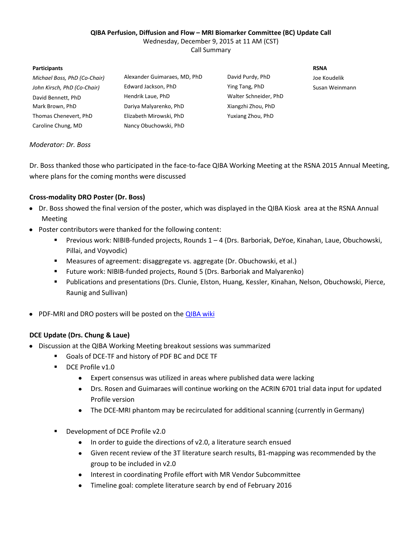#### **QIBA Perfusion, Diffusion and Flow – MRI Biomarker Committee (BC) Update Call**

Wednesday, December 9, 2015 at 11 AM (CST)

Call Summary

#### **Participants RSNA**

| Michael Boss, PhD (Co-Chair) | Alexander Guimaraes, MD, PhD | David Purdy, PhD      | Joe Koudelik   |
|------------------------------|------------------------------|-----------------------|----------------|
| John Kirsch, PhD (Co-Chair)  | Edward Jackson, PhD          | Ying Tang, PhD        | Susan Weinmann |
| David Bennett, PhD           | Hendrik Laue, PhD            | Walter Schneider, PhD |                |
| Mark Brown, PhD              | Dariya Malyarenko, PhD       | Xiangzhi Zhou, PhD    |                |
| Thomas Chenevert, PhD        | Elizabeth Mirowski, PhD      | Yuxiang Zhou, PhD     |                |
| Caroline Chung, MD           | Nancy Obuchowski, PhD        |                       |                |

## *Moderator: Dr. Boss*

Dr. Boss thanked those who participated in the face-to-face QIBA Working Meeting at the RSNA 2015 Annual Meeting, where plans for the coming months were discussed

## **Cross-modality DRO Poster (Dr. Boss)**

- Dr. Boss showed the final version of the poster, which was displayed in the QIBA Kiosk area at the RSNA Annual Meeting
- Poster contributors were thanked for the following content:
	- Previous work: NIBIB-funded projects, Rounds 1 4 (Drs. Barboriak, DeYoe, Kinahan, Laue, Obuchowski, Pillai, and Voyvodic)
	- Measures of agreement: disaggregate vs. aggregate (Dr. Obuchowski, et al.)
	- Future work: NIBIB-funded projects, Round 5 (Drs. Barboriak and Malyarenko)
	- Publications and presentations (Drs. Clunie, Elston, Huang, Kessler, Kinahan, Nelson, Obuchowski, Pierce, Raunig and Sullivan)
- PDF-MRI and DRO posters will be posted on the **QIBA wiki**

#### **DCE Update (Drs. Chung & Laue)**

- Discussion at the QIBA Working Meeting breakout sessions was summarized  $\bullet$ 
	- Goals of DCE-TF and history of PDF BC and DCE TF
	- DCE Profile v1.0
		- Expert consensus was utilized in areas where published data were lacking  $\bullet$
		- Drs. Rosen and Guimaraes will continue working on the ACRIN 6701 trial data input for updated Profile version
		- The DCE-MRI phantom may be recirculated for additional scanning (currently in Germany)
	- Development of DCE Profile v2.0
		- In order to guide the directions of v2.0, a literature search ensued
		- Given recent review of the 3T literature search results, B1-mapping was recommended by the group to be included in v2.0
		- Interest in coordinating Profile effort with MR Vendor Subcommittee
		- Timeline goal: complete literature search by end of February 2016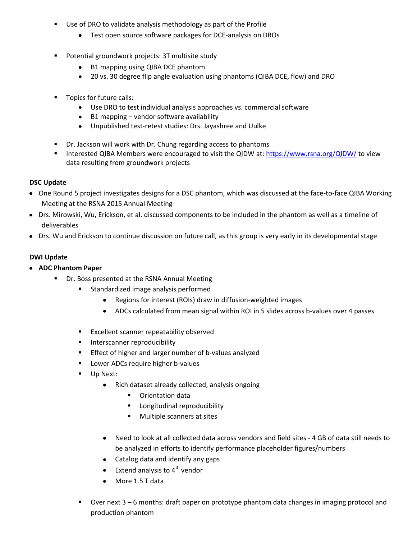- Use of DRO to validate analysis methodology as part of the Profile
	- Test open source software packages for DCE-analysis on DROs
- Potential groundwork projects: 3T multisite study
	- B1 mapping using QIBA DCE phantom
	- 20 vs. 30 degree flip angle evaluation using phantoms (QIBA DCE, flow) and DRO
- Topics for future calls:
	- Use DRO to test individual analysis approaches vs. commercial software
	- $\bullet$  B1 mapping vendor software availability
	- Unpublished test-retest studies: Drs. Jayashree and Uulke
- Dr. Jackson will work with Dr. Chung regarding access to phantoms
- Interested QIBA Members were encouraged to visit the QIDW at: <https://www.rsna.org/QIDW/> to view data resulting from groundwork projects

# **DSC Update**

- One Round 5 project investigates designs for a DSC phantom, which was discussed at the face-to-face QIBA Working Meeting at the RSNA 2015 Annual Meeting
- Drs. Mirowski, Wu, Erickson, et al. discussed components to be included in the phantom as well as a timeline of deliverables
- Drs. Wu and Erickson to continue discussion on future call, as this group is very early in its developmental stage

# **DWI Update**

- **ADC Phantom Paper**
	- Dr. Boss presented at the RSNA Annual Meeting
		- Standardized image analysis performed
			- $\bullet$ Regions for interest (ROIs) draw in diffusion-weighted images
			- ADCs calculated from mean signal within ROI in 5 slides across b-values over 4 passes  $\bullet$
		- **Excellent scanner repeatability observed**
		- **Interscanner reproducibility**
		- **Effect of higher and larger number of b-values analyzed**
		- Lower ADCs require higher b-values
		- **Up Next:** 
			- Rich dataset already collected, analysis ongoing  $\bullet$ 
				- **•** Orientation data
				- **EXECUTE:** Longitudinal reproducibility
				- **Multiple scanners at sites**
			- Need to look at all collected data across vendors and field sites 4 GB of data still needs to be analyzed in efforts to identify performance placeholder figures/numbers
			- Catalog data and identify any gaps
			- Extend analysis to  $4<sup>th</sup>$  vendor
			- More 1.5 T data
		- Over next 3 6 months: draft paper on prototype phantom data changes in imaging protocol and production phantom